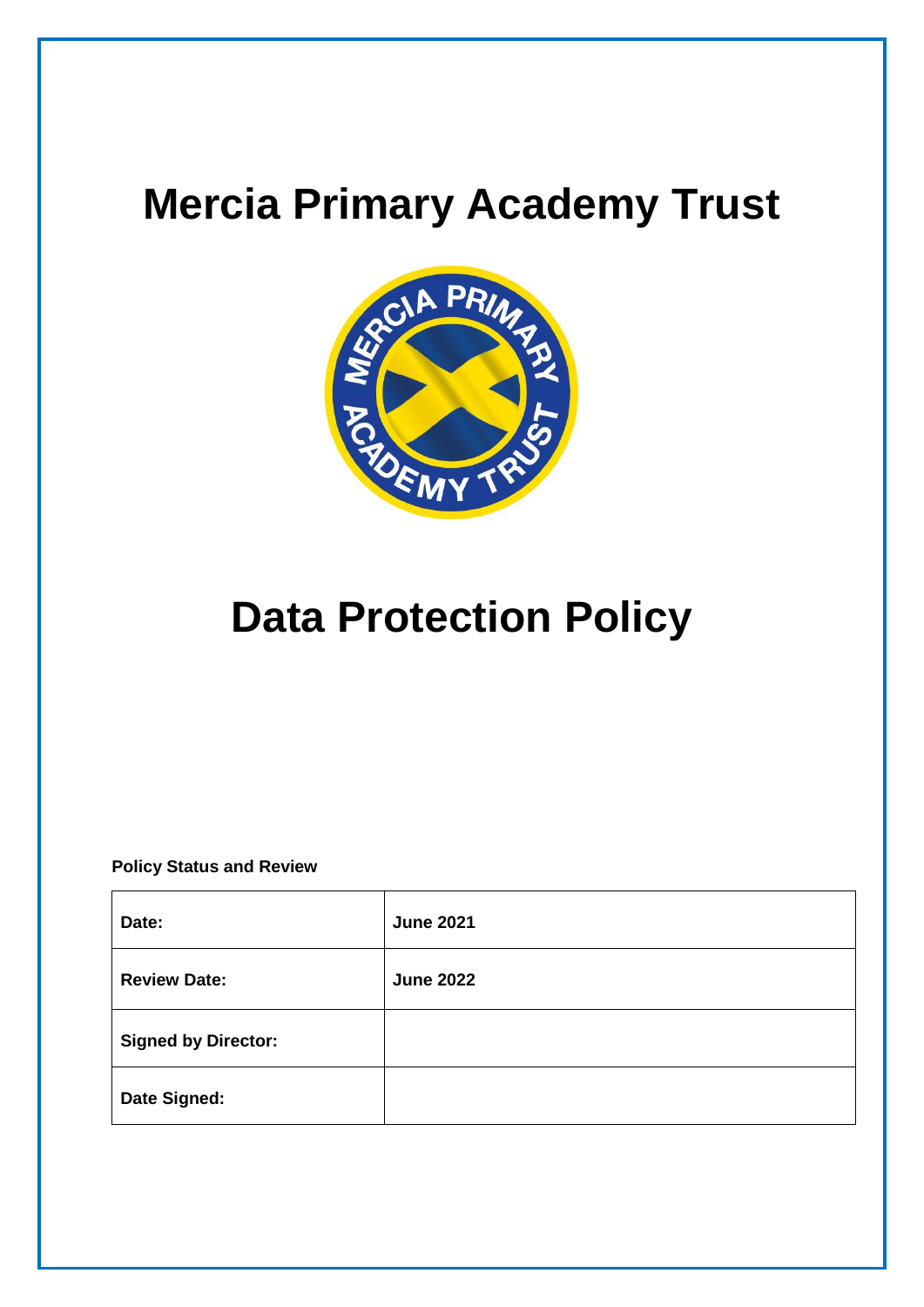

# **Data Protection Policy**

**Policy Status and Review**

| Date:                      | <b>June 2021</b> |
|----------------------------|------------------|
| <b>Review Date:</b>        | <b>June 2022</b> |
| <b>Signed by Director:</b> |                  |
| Date Signed:               |                  |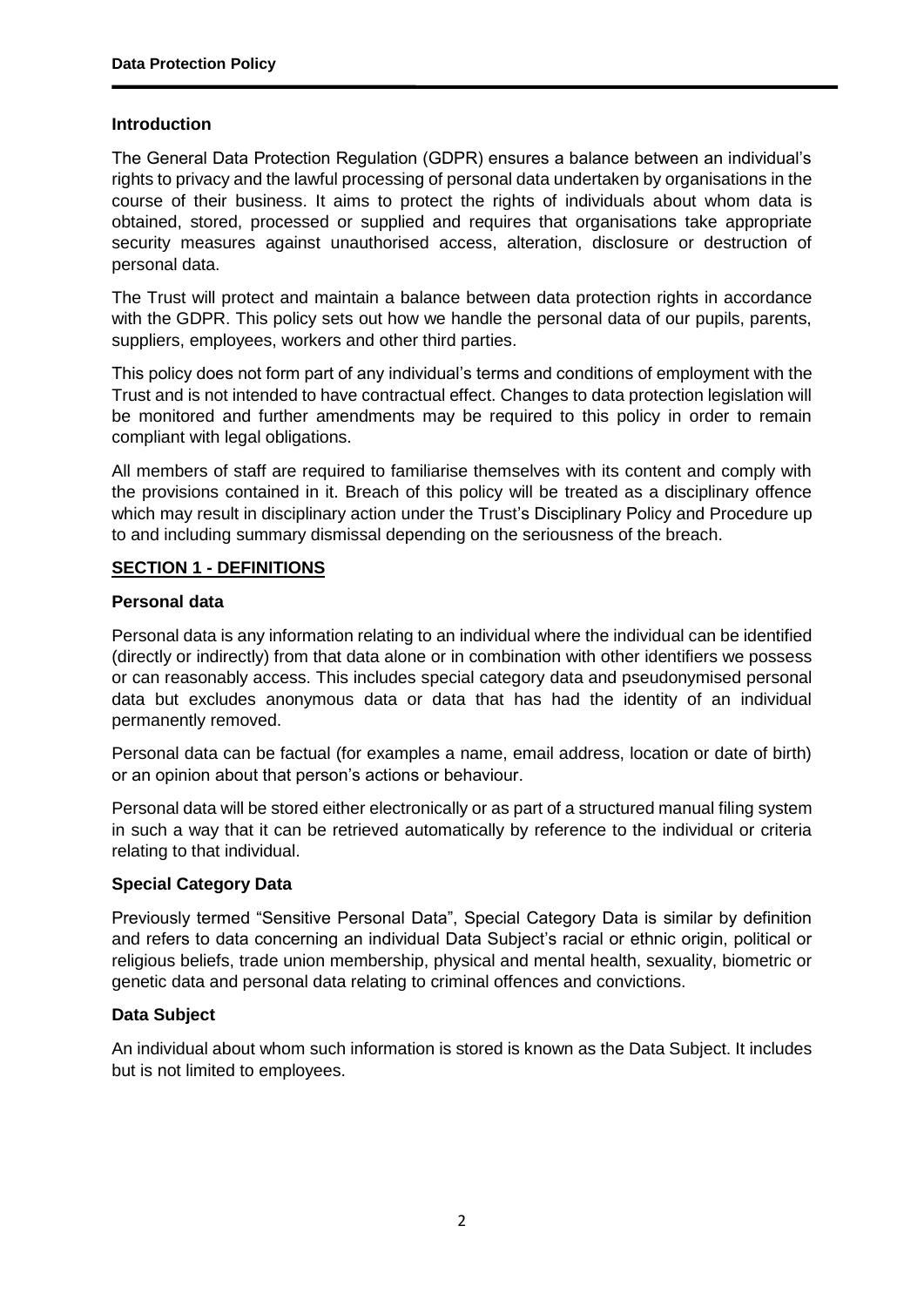#### **Introduction**

The General Data Protection Regulation (GDPR) ensures a balance between an individual's rights to privacy and the lawful processing of personal data undertaken by organisations in the course of their business. It aims to protect the rights of individuals about whom data is obtained, stored, processed or supplied and requires that organisations take appropriate security measures against unauthorised access, alteration, disclosure or destruction of personal data.

The Trust will protect and maintain a balance between data protection rights in accordance with the GDPR. This policy sets out how we handle the personal data of our pupils, parents, suppliers, employees, workers and other third parties.

This policy does not form part of any individual's terms and conditions of employment with the Trust and is not intended to have contractual effect. Changes to data protection legislation will be monitored and further amendments may be required to this policy in order to remain compliant with legal obligations.

All members of staff are required to familiarise themselves with its content and comply with the provisions contained in it. Breach of this policy will be treated as a disciplinary offence which may result in disciplinary action under the Trust's Disciplinary Policy and Procedure up to and including summary dismissal depending on the seriousness of the breach.

#### **SECTION 1 - DEFINITIONS**

#### **Personal data**

Personal data is any information relating to an individual where the individual can be identified (directly or indirectly) from that data alone or in combination with other identifiers we possess or can reasonably access. This includes special category data and pseudonymised personal data but excludes anonymous data or data that has had the identity of an individual permanently removed.

Personal data can be factual (for examples a name, email address, location or date of birth) or an opinion about that person's actions or behaviour.

Personal data will be stored either electronically or as part of a structured manual filing system in such a way that it can be retrieved automatically by reference to the individual or criteria relating to that individual.

#### **Special Category Data**

Previously termed "Sensitive Personal Data", Special Category Data is similar by definition and refers to data concerning an individual Data Subject's racial or ethnic origin, political or religious beliefs, trade union membership, physical and mental health, sexuality, biometric or genetic data and personal data relating to criminal offences and convictions.

#### **Data Subject**

An individual about whom such information is stored is known as the Data Subject. It includes but is not limited to employees.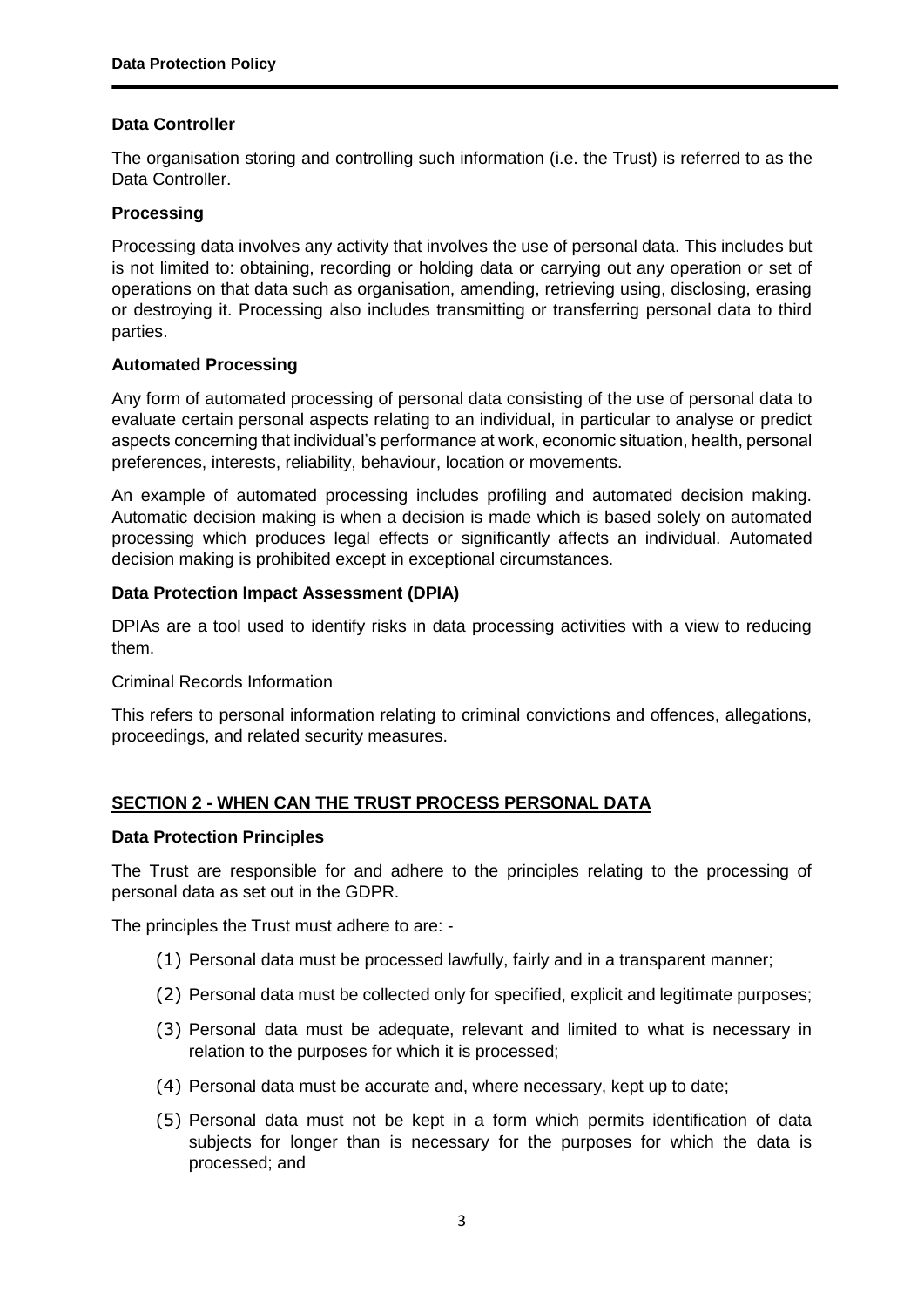# **Data Controller**

The organisation storing and controlling such information (i.e. the Trust) is referred to as the Data Controller.

#### **Processing**

Processing data involves any activity that involves the use of personal data. This includes but is not limited to: obtaining, recording or holding data or carrying out any operation or set of operations on that data such as organisation, amending, retrieving using, disclosing, erasing or destroying it. Processing also includes transmitting or transferring personal data to third parties.

#### **Automated Processing**

Any form of automated processing of personal data consisting of the use of personal data to evaluate certain personal aspects relating to an individual, in particular to analyse or predict aspects concerning that individual's performance at work, economic situation, health, personal preferences, interests, reliability, behaviour, location or movements.

An example of automated processing includes profiling and automated decision making. Automatic decision making is when a decision is made which is based solely on automated processing which produces legal effects or significantly affects an individual. Automated decision making is prohibited except in exceptional circumstances.

#### **Data Protection Impact Assessment (DPIA)**

DPIAs are a tool used to identify risks in data processing activities with a view to reducing them.

Criminal Records Information

This refers to personal information relating to criminal convictions and offences, allegations, proceedings, and related security measures.

#### **SECTION 2 - WHEN CAN THE TRUST PROCESS PERSONAL DATA**

#### **Data Protection Principles**

The Trust are responsible for and adhere to the principles relating to the processing of personal data as set out in the GDPR.

The principles the Trust must adhere to are: -

- (1) Personal data must be processed lawfully, fairly and in a transparent manner;
- (2) Personal data must be collected only for specified, explicit and legitimate purposes;
- (3) Personal data must be adequate, relevant and limited to what is necessary in relation to the purposes for which it is processed;
- (4) Personal data must be accurate and, where necessary, kept up to date;
- (5) Personal data must not be kept in a form which permits identification of data subjects for longer than is necessary for the purposes for which the data is processed; and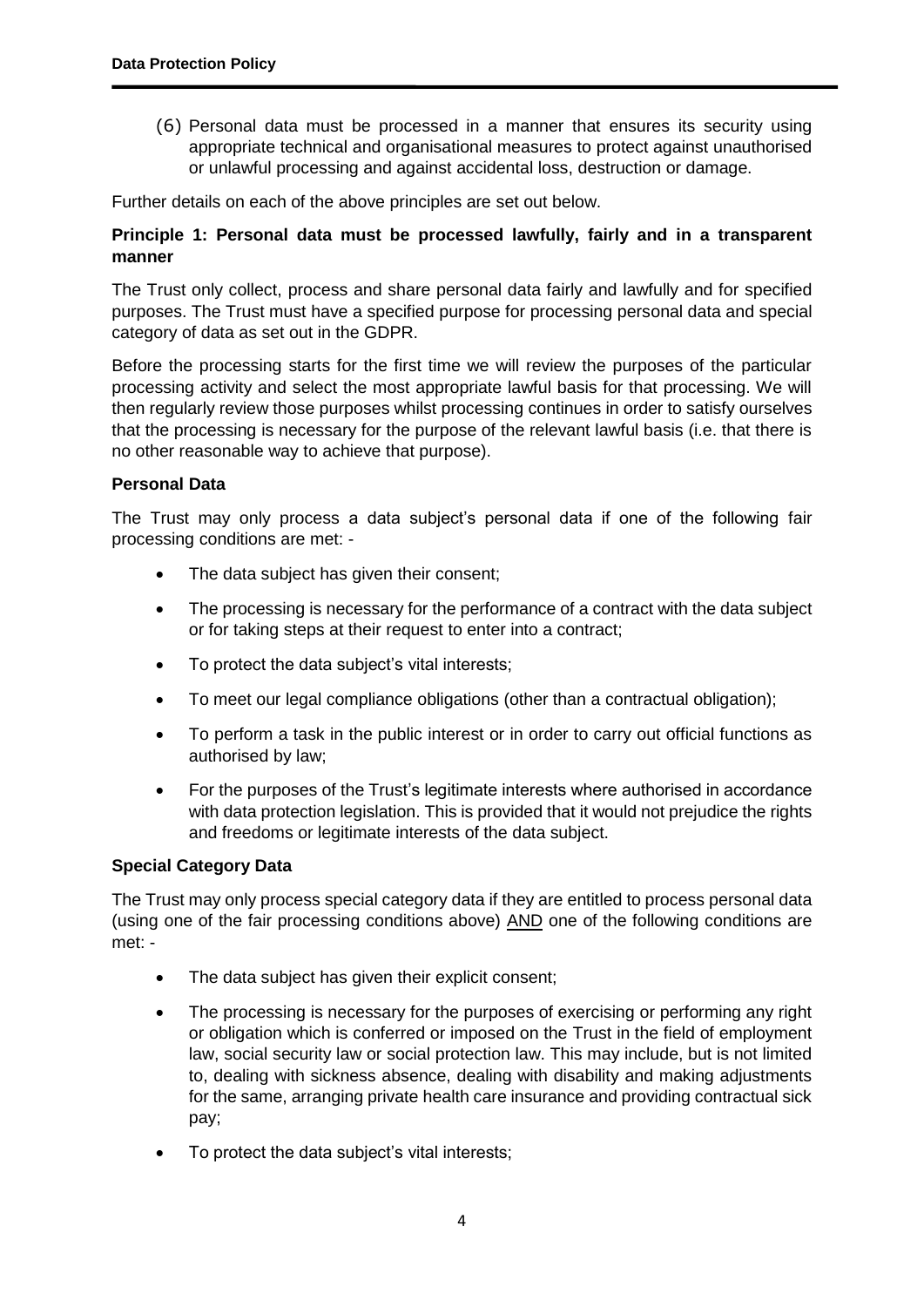(6) Personal data must be processed in a manner that ensures its security using appropriate technical and organisational measures to protect against unauthorised or unlawful processing and against accidental loss, destruction or damage.

Further details on each of the above principles are set out below.

# **Principle 1: Personal data must be processed lawfully, fairly and in a transparent manner**

The Trust only collect, process and share personal data fairly and lawfully and for specified purposes. The Trust must have a specified purpose for processing personal data and special category of data as set out in the GDPR.

Before the processing starts for the first time we will review the purposes of the particular processing activity and select the most appropriate lawful basis for that processing. We will then regularly review those purposes whilst processing continues in order to satisfy ourselves that the processing is necessary for the purpose of the relevant lawful basis (i.e. that there is no other reasonable way to achieve that purpose).

# **Personal Data**

The Trust may only process a data subject's personal data if one of the following fair processing conditions are met: -

- The data subject has given their consent;
- The processing is necessary for the performance of a contract with the data subject or for taking steps at their request to enter into a contract;
- To protect the data subject's vital interests;
- To meet our legal compliance obligations (other than a contractual obligation);
- To perform a task in the public interest or in order to carry out official functions as authorised by law;
- For the purposes of the Trust's legitimate interests where authorised in accordance with data protection legislation. This is provided that it would not prejudice the rights and freedoms or legitimate interests of the data subject.

#### **Special Category Data**

The Trust may only process special category data if they are entitled to process personal data (using one of the fair processing conditions above) AND one of the following conditions are met: -

- The data subject has given their explicit consent;
- The processing is necessary for the purposes of exercising or performing any right or obligation which is conferred or imposed on the Trust in the field of employment law, social security law or social protection law. This may include, but is not limited to, dealing with sickness absence, dealing with disability and making adjustments for the same, arranging private health care insurance and providing contractual sick pay;
- To protect the data subject's vital interests;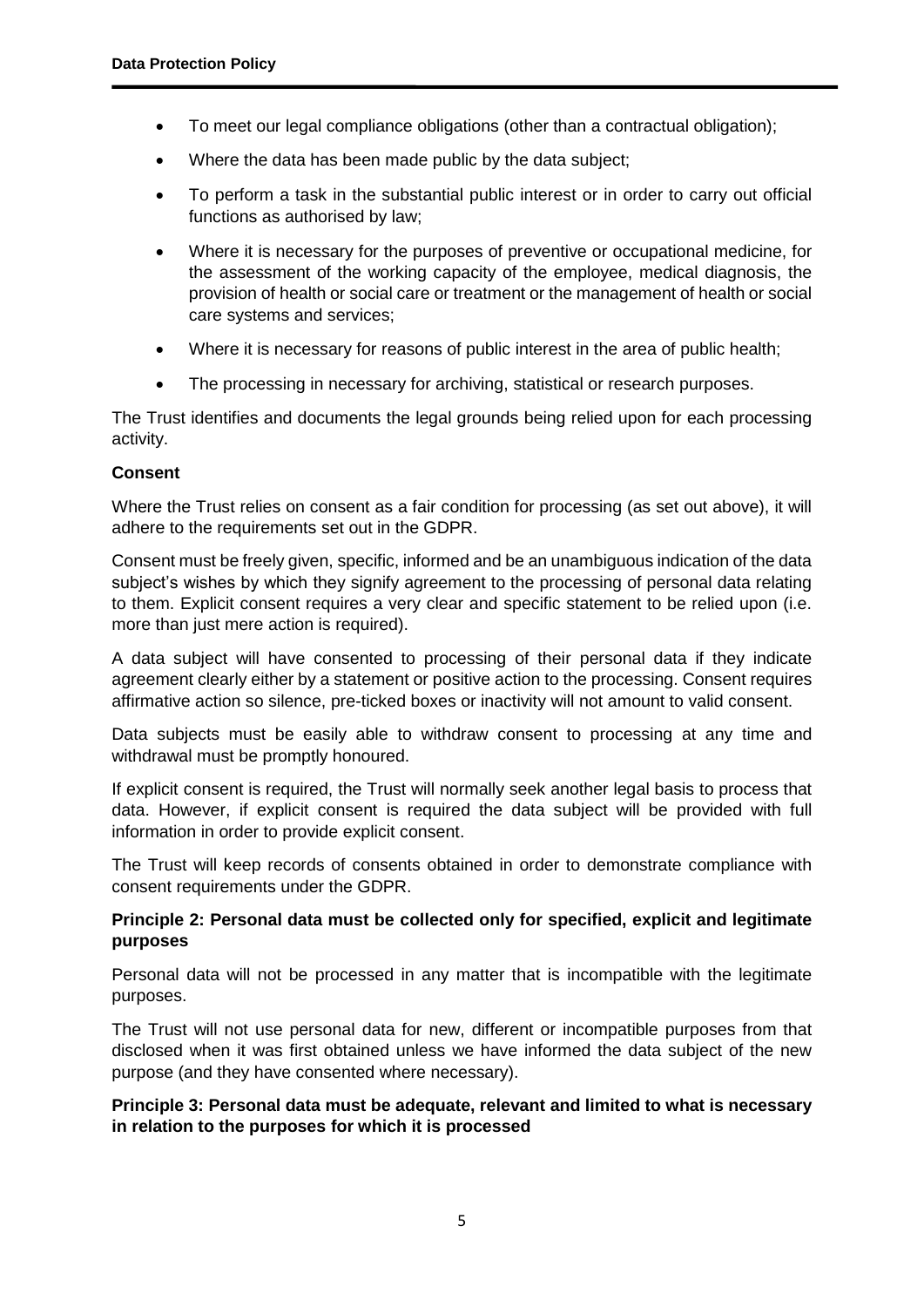- To meet our legal compliance obligations (other than a contractual obligation);
- Where the data has been made public by the data subject;
- To perform a task in the substantial public interest or in order to carry out official functions as authorised by law;
- Where it is necessary for the purposes of preventive or occupational medicine, for the assessment of the working capacity of the employee, medical diagnosis, the provision of health or social care or treatment or the management of health or social care systems and services;
- Where it is necessary for reasons of public interest in the area of public health;
- The processing in necessary for archiving, statistical or research purposes.

The Trust identifies and documents the legal grounds being relied upon for each processing activity.

#### **Consent**

Where the Trust relies on consent as a fair condition for processing (as set out above), it will adhere to the requirements set out in the GDPR.

Consent must be freely given, specific, informed and be an unambiguous indication of the data subject's wishes by which they signify agreement to the processing of personal data relating to them. Explicit consent requires a very clear and specific statement to be relied upon (i.e. more than just mere action is required).

A data subject will have consented to processing of their personal data if they indicate agreement clearly either by a statement or positive action to the processing. Consent requires affirmative action so silence, pre-ticked boxes or inactivity will not amount to valid consent.

Data subjects must be easily able to withdraw consent to processing at any time and withdrawal must be promptly honoured.

If explicit consent is required, the Trust will normally seek another legal basis to process that data. However, if explicit consent is required the data subject will be provided with full information in order to provide explicit consent.

The Trust will keep records of consents obtained in order to demonstrate compliance with consent requirements under the GDPR.

#### **Principle 2: Personal data must be collected only for specified, explicit and legitimate purposes**

Personal data will not be processed in any matter that is incompatible with the legitimate purposes.

The Trust will not use personal data for new, different or incompatible purposes from that disclosed when it was first obtained unless we have informed the data subject of the new purpose (and they have consented where necessary).

#### **Principle 3: Personal data must be adequate, relevant and limited to what is necessary in relation to the purposes for which it is processed**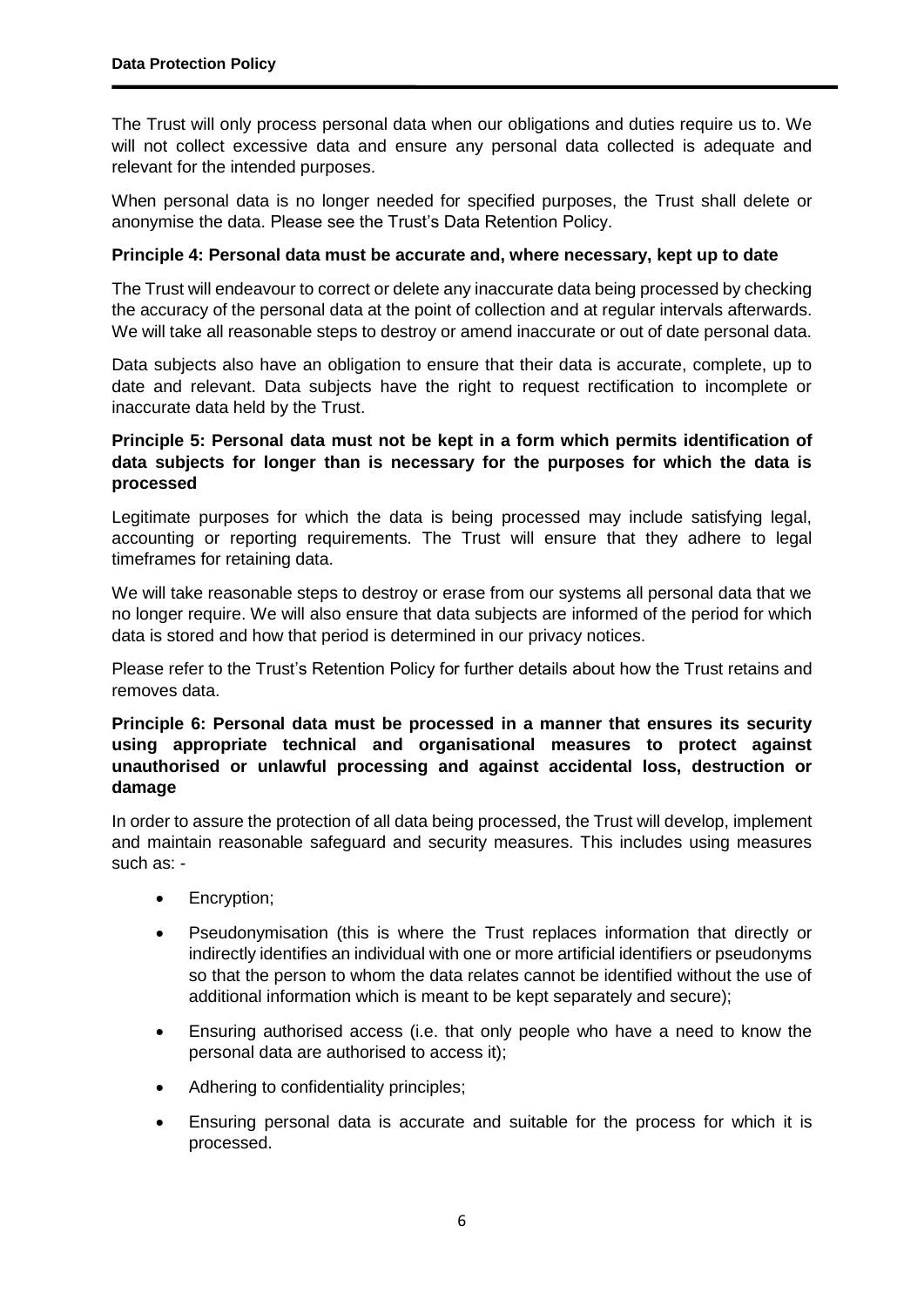The Trust will only process personal data when our obligations and duties require us to. We will not collect excessive data and ensure any personal data collected is adequate and relevant for the intended purposes.

When personal data is no longer needed for specified purposes, the Trust shall delete or anonymise the data. Please see the Trust's Data Retention Policy.

#### **Principle 4: Personal data must be accurate and, where necessary, kept up to date**

The Trust will endeavour to correct or delete any inaccurate data being processed by checking the accuracy of the personal data at the point of collection and at regular intervals afterwards. We will take all reasonable steps to destroy or amend inaccurate or out of date personal data.

Data subjects also have an obligation to ensure that their data is accurate, complete, up to date and relevant. Data subjects have the right to request rectification to incomplete or inaccurate data held by the Trust.

# **Principle 5: Personal data must not be kept in a form which permits identification of data subjects for longer than is necessary for the purposes for which the data is processed**

Legitimate purposes for which the data is being processed may include satisfying legal, accounting or reporting requirements. The Trust will ensure that they adhere to legal timeframes for retaining data.

We will take reasonable steps to destroy or erase from our systems all personal data that we no longer require. We will also ensure that data subjects are informed of the period for which data is stored and how that period is determined in our privacy notices.

Please refer to the Trust's Retention Policy for further details about how the Trust retains and removes data.

#### **Principle 6: Personal data must be processed in a manner that ensures its security using appropriate technical and organisational measures to protect against unauthorised or unlawful processing and against accidental loss, destruction or damage**

In order to assure the protection of all data being processed, the Trust will develop, implement and maintain reasonable safeguard and security measures. This includes using measures such as: -

- Encryption;
- Pseudonymisation (this is where the Trust replaces information that directly or indirectly identifies an individual with one or more artificial identifiers or pseudonyms so that the person to whom the data relates cannot be identified without the use of additional information which is meant to be kept separately and secure);
- Ensuring authorised access (i.e. that only people who have a need to know the personal data are authorised to access it);
- Adhering to confidentiality principles;
- Ensuring personal data is accurate and suitable for the process for which it is processed.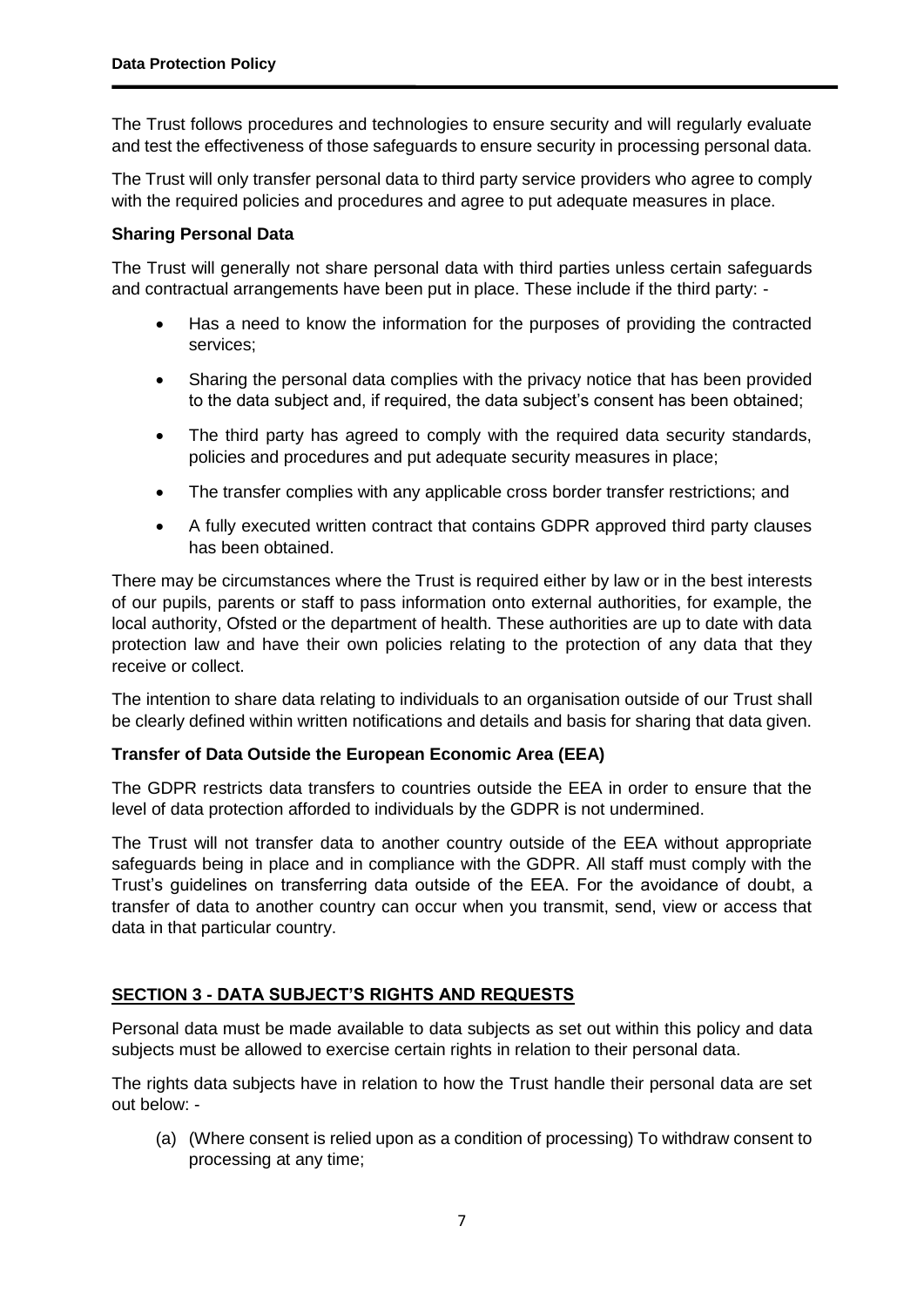The Trust follows procedures and technologies to ensure security and will regularly evaluate and test the effectiveness of those safeguards to ensure security in processing personal data.

The Trust will only transfer personal data to third party service providers who agree to comply with the required policies and procedures and agree to put adequate measures in place.

# **Sharing Personal Data**

The Trust will generally not share personal data with third parties unless certain safeguards and contractual arrangements have been put in place. These include if the third party: -

- Has a need to know the information for the purposes of providing the contracted services;
- Sharing the personal data complies with the privacy notice that has been provided to the data subject and, if required, the data subject's consent has been obtained;
- The third party has agreed to comply with the required data security standards, policies and procedures and put adequate security measures in place;
- The transfer complies with any applicable cross border transfer restrictions; and
- A fully executed written contract that contains GDPR approved third party clauses has been obtained.

There may be circumstances where the Trust is required either by law or in the best interests of our pupils, parents or staff to pass information onto external authorities, for example, the local authority, Ofsted or the department of health. These authorities are up to date with data protection law and have their own policies relating to the protection of any data that they receive or collect.

The intention to share data relating to individuals to an organisation outside of our Trust shall be clearly defined within written notifications and details and basis for sharing that data given.

#### **Transfer of Data Outside the European Economic Area (EEA)**

The GDPR restricts data transfers to countries outside the EEA in order to ensure that the level of data protection afforded to individuals by the GDPR is not undermined.

The Trust will not transfer data to another country outside of the EEA without appropriate safeguards being in place and in compliance with the GDPR. All staff must comply with the Trust's guidelines on transferring data outside of the EEA. For the avoidance of doubt, a transfer of data to another country can occur when you transmit, send, view or access that data in that particular country.

# **SECTION 3 - DATA SUBJECT'S RIGHTS AND REQUESTS**

Personal data must be made available to data subjects as set out within this policy and data subjects must be allowed to exercise certain rights in relation to their personal data.

The rights data subjects have in relation to how the Trust handle their personal data are set out below: -

(a) (Where consent is relied upon as a condition of processing) To withdraw consent to processing at any time;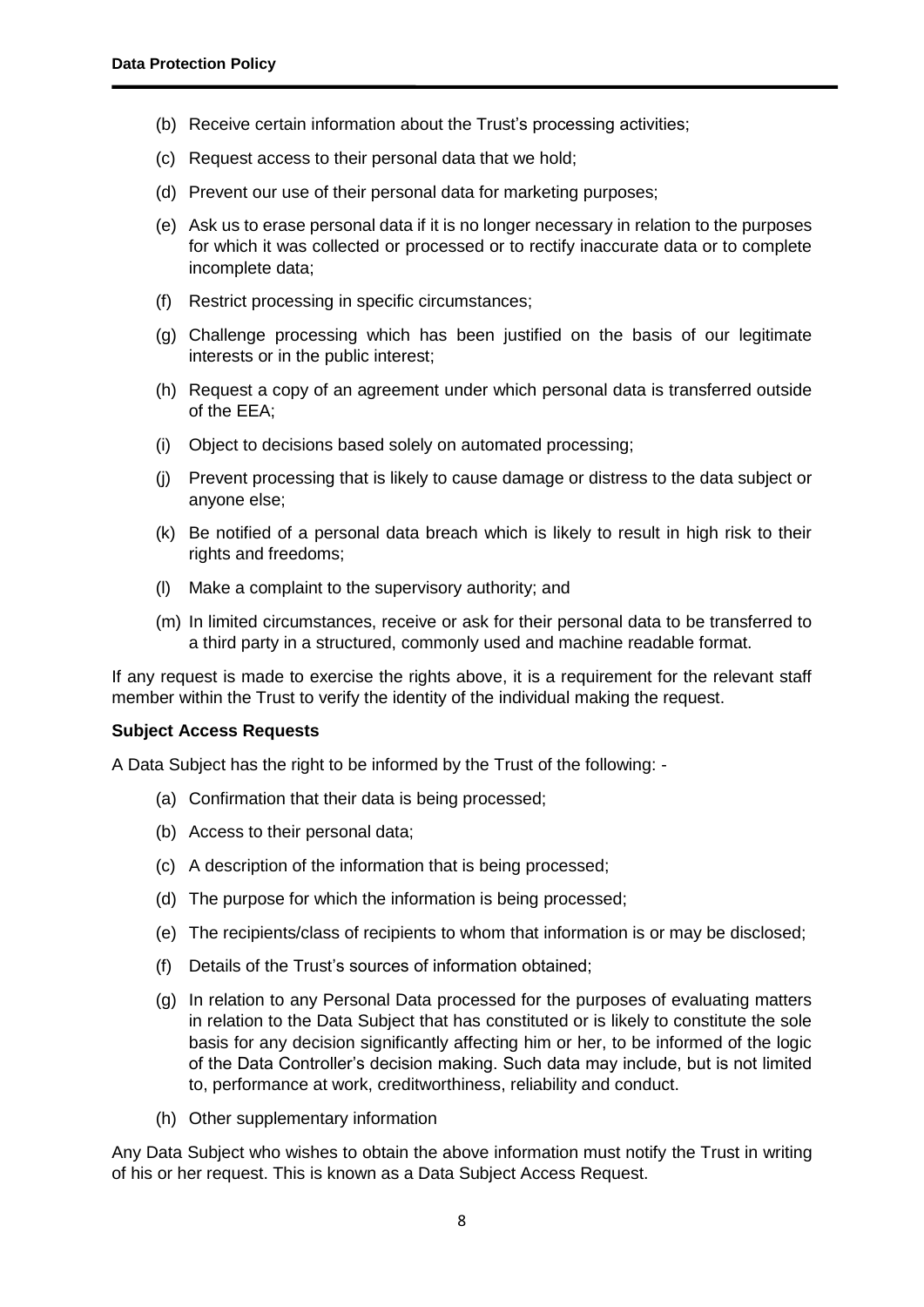- (b) Receive certain information about the Trust's processing activities;
- (c) Request access to their personal data that we hold;
- (d) Prevent our use of their personal data for marketing purposes;
- (e) Ask us to erase personal data if it is no longer necessary in relation to the purposes for which it was collected or processed or to rectify inaccurate data or to complete incomplete data;
- (f) Restrict processing in specific circumstances;
- (g) Challenge processing which has been justified on the basis of our legitimate interests or in the public interest;
- (h) Request a copy of an agreement under which personal data is transferred outside of the EEA;
- (i) Object to decisions based solely on automated processing;
- (j) Prevent processing that is likely to cause damage or distress to the data subject or anyone else;
- (k) Be notified of a personal data breach which is likely to result in high risk to their rights and freedoms;
- (l) Make a complaint to the supervisory authority; and
- (m) In limited circumstances, receive or ask for their personal data to be transferred to a third party in a structured, commonly used and machine readable format.

If any request is made to exercise the rights above, it is a requirement for the relevant staff member within the Trust to verify the identity of the individual making the request.

#### **Subject Access Requests**

A Data Subject has the right to be informed by the Trust of the following: -

- (a) Confirmation that their data is being processed;
- (b) Access to their personal data;
- (c) A description of the information that is being processed;
- (d) The purpose for which the information is being processed;
- (e) The recipients/class of recipients to whom that information is or may be disclosed;
- (f) Details of the Trust's sources of information obtained;
- (g) In relation to any Personal Data processed for the purposes of evaluating matters in relation to the Data Subject that has constituted or is likely to constitute the sole basis for any decision significantly affecting him or her, to be informed of the logic of the Data Controller's decision making. Such data may include, but is not limited to, performance at work, creditworthiness, reliability and conduct.
- (h) Other supplementary information

Any Data Subject who wishes to obtain the above information must notify the Trust in writing of his or her request. This is known as a Data Subject Access Request.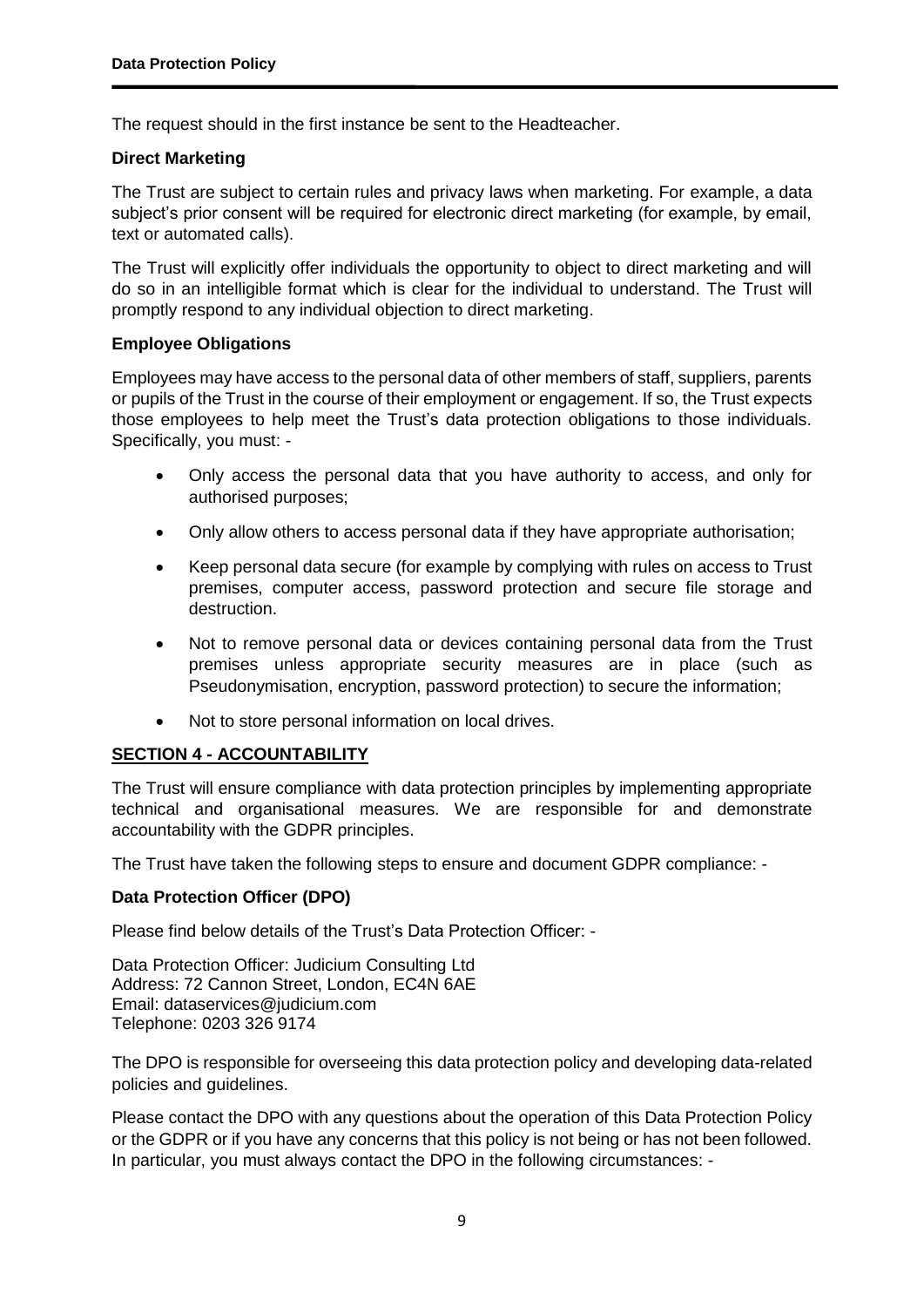The request should in the first instance be sent to the Headteacher.

# **Direct Marketing**

The Trust are subject to certain rules and privacy laws when marketing. For example, a data subject's prior consent will be required for electronic direct marketing (for example, by email, text or automated calls).

The Trust will explicitly offer individuals the opportunity to object to direct marketing and will do so in an intelligible format which is clear for the individual to understand. The Trust will promptly respond to any individual objection to direct marketing.

#### **Employee Obligations**

Employees may have access to the personal data of other members of staff, suppliers, parents or pupils of the Trust in the course of their employment or engagement. If so, the Trust expects those employees to help meet the Trust's data protection obligations to those individuals. Specifically, you must: -

- Only access the personal data that you have authority to access, and only for authorised purposes;
- Only allow others to access personal data if they have appropriate authorisation;
- Keep personal data secure (for example by complying with rules on access to Trust premises, computer access, password protection and secure file storage and destruction.
- Not to remove personal data or devices containing personal data from the Trust premises unless appropriate security measures are in place (such as Pseudonymisation, encryption, password protection) to secure the information;
- Not to store personal information on local drives.

# **SECTION 4 - ACCOUNTABILITY**

The Trust will ensure compliance with data protection principles by implementing appropriate technical and organisational measures. We are responsible for and demonstrate accountability with the GDPR principles.

The Trust have taken the following steps to ensure and document GDPR compliance: -

# **Data Protection Officer (DPO)**

Please find below details of the Trust's Data Protection Officer: -

Data Protection Officer: Judicium Consulting Ltd Address: 72 Cannon Street, London, EC4N 6AE Email: [dataservices@judicium.com](mailto:dataservices@judicium.com) Telephone: 0203 326 9174

The DPO is responsible for overseeing this data protection policy and developing data-related policies and guidelines.

Please contact the DPO with any questions about the operation of this Data Protection Policy or the GDPR or if you have any concerns that this policy is not being or has not been followed. In particular, you must always contact the DPO in the following circumstances: -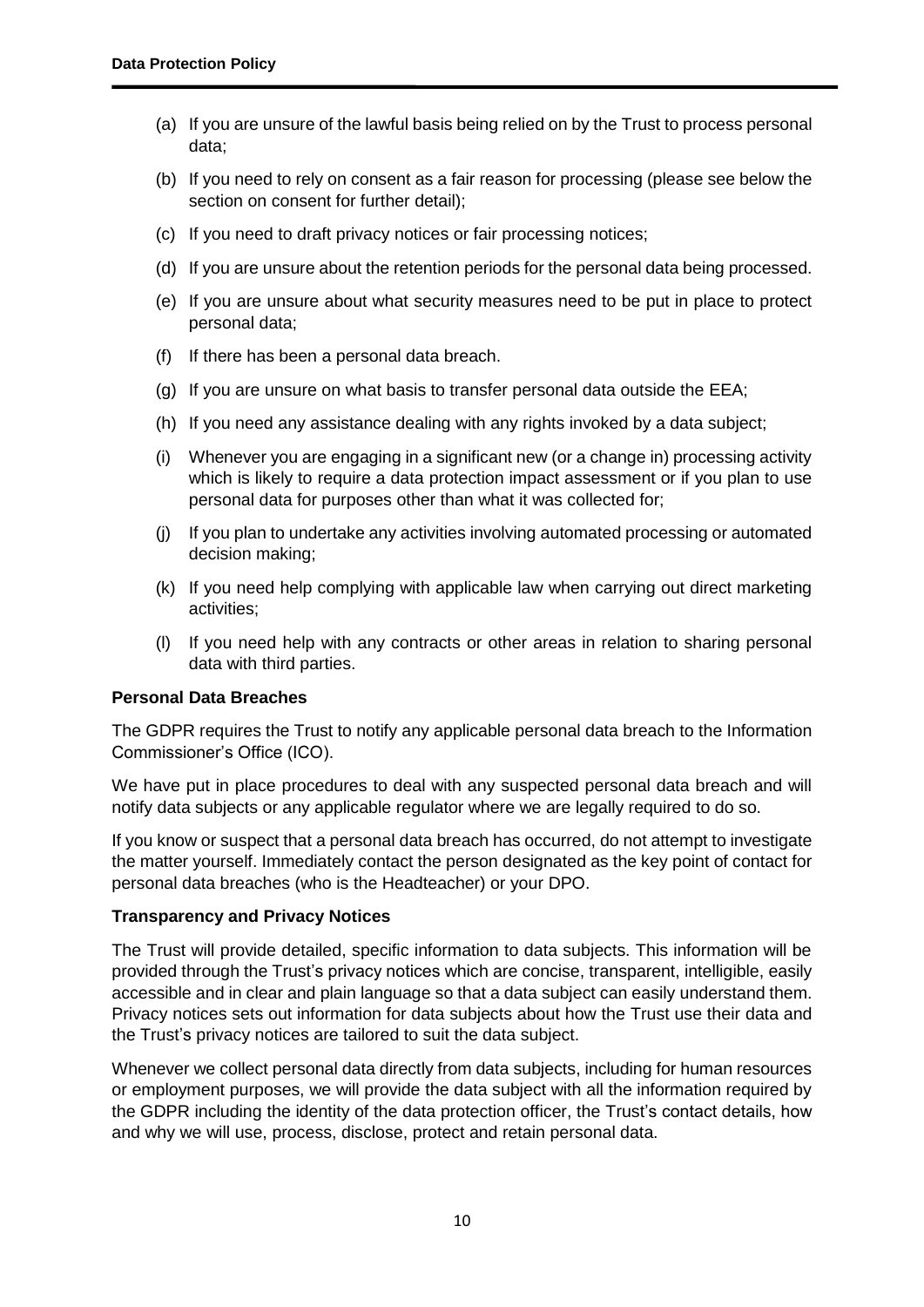- (a) If you are unsure of the lawful basis being relied on by the Trust to process personal data;
- (b) If you need to rely on consent as a fair reason for processing (please see below the section on consent for further detail);
- (c) If you need to draft privacy notices or fair processing notices;
- (d) If you are unsure about the retention periods for the personal data being processed.
- (e) If you are unsure about what security measures need to be put in place to protect personal data;
- (f) If there has been a personal data breach.
- (g) If you are unsure on what basis to transfer personal data outside the EEA;
- (h) If you need any assistance dealing with any rights invoked by a data subject;
- (i) Whenever you are engaging in a significant new (or a change in) processing activity which is likely to require a data protection impact assessment or if you plan to use personal data for purposes other than what it was collected for;
- (j) If you plan to undertake any activities involving automated processing or automated decision making;
- (k) If you need help complying with applicable law when carrying out direct marketing activities;
- (l) If you need help with any contracts or other areas in relation to sharing personal data with third parties.

#### **Personal Data Breaches**

The GDPR requires the Trust to notify any applicable personal data breach to the Information Commissioner's Office (ICO).

We have put in place procedures to deal with any suspected personal data breach and will notify data subjects or any applicable regulator where we are legally required to do so.

If you know or suspect that a personal data breach has occurred, do not attempt to investigate the matter yourself. Immediately contact the person designated as the key point of contact for personal data breaches (who is the Headteacher) or your DPO.

#### **Transparency and Privacy Notices**

The Trust will provide detailed, specific information to data subjects. This information will be provided through the Trust's privacy notices which are concise, transparent, intelligible, easily accessible and in clear and plain language so that a data subject can easily understand them. Privacy notices sets out information for data subjects about how the Trust use their data and the Trust's privacy notices are tailored to suit the data subject.

Whenever we collect personal data directly from data subjects, including for human resources or employment purposes, we will provide the data subject with all the information required by the GDPR including the identity of the data protection officer, the Trust's contact details, how and why we will use, process, disclose, protect and retain personal data.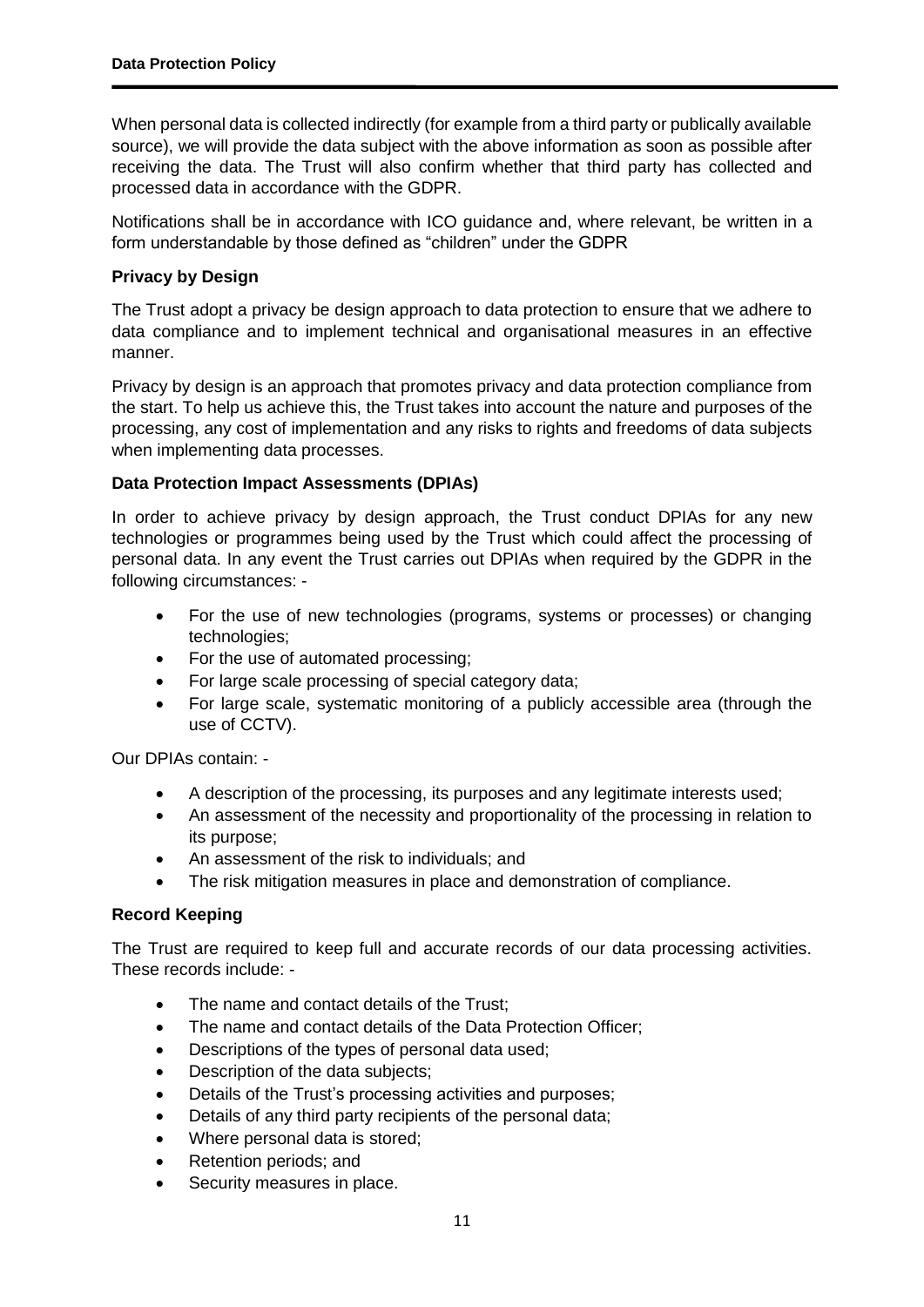When personal data is collected indirectly (for example from a third party or publically available source), we will provide the data subject with the above information as soon as possible after receiving the data. The Trust will also confirm whether that third party has collected and processed data in accordance with the GDPR.

Notifications shall be in accordance with ICO guidance and, where relevant, be written in a form understandable by those defined as "children" under the GDPR

# **Privacy by Design**

The Trust adopt a privacy be design approach to data protection to ensure that we adhere to data compliance and to implement technical and organisational measures in an effective manner.

Privacy by design is an approach that promotes privacy and data protection compliance from the start. To help us achieve this, the Trust takes into account the nature and purposes of the processing, any cost of implementation and any risks to rights and freedoms of data subjects when implementing data processes.

# **Data Protection Impact Assessments (DPIAs)**

In order to achieve privacy by design approach, the Trust conduct DPIAs for any new technologies or programmes being used by the Trust which could affect the processing of personal data. In any event the Trust carries out DPIAs when required by the GDPR in the following circumstances: -

- For the use of new technologies (programs, systems or processes) or changing technologies;
- For the use of automated processing;
- For large scale processing of special category data;
- For large scale, systematic monitoring of a publicly accessible area (through the use of CCTV).

Our DPIAs contain: -

- A description of the processing, its purposes and any legitimate interests used;
- An assessment of the necessity and proportionality of the processing in relation to its purpose;
- An assessment of the risk to individuals; and
- The risk mitigation measures in place and demonstration of compliance.

#### **Record Keeping**

The Trust are required to keep full and accurate records of our data processing activities. These records include: -

- The name and contact details of the Trust:
- The name and contact details of the Data Protection Officer;
- Descriptions of the types of personal data used;
- Description of the data subjects;
- Details of the Trust's processing activities and purposes;
- Details of any third party recipients of the personal data;
- Where personal data is stored;
- Retention periods; and
- Security measures in place.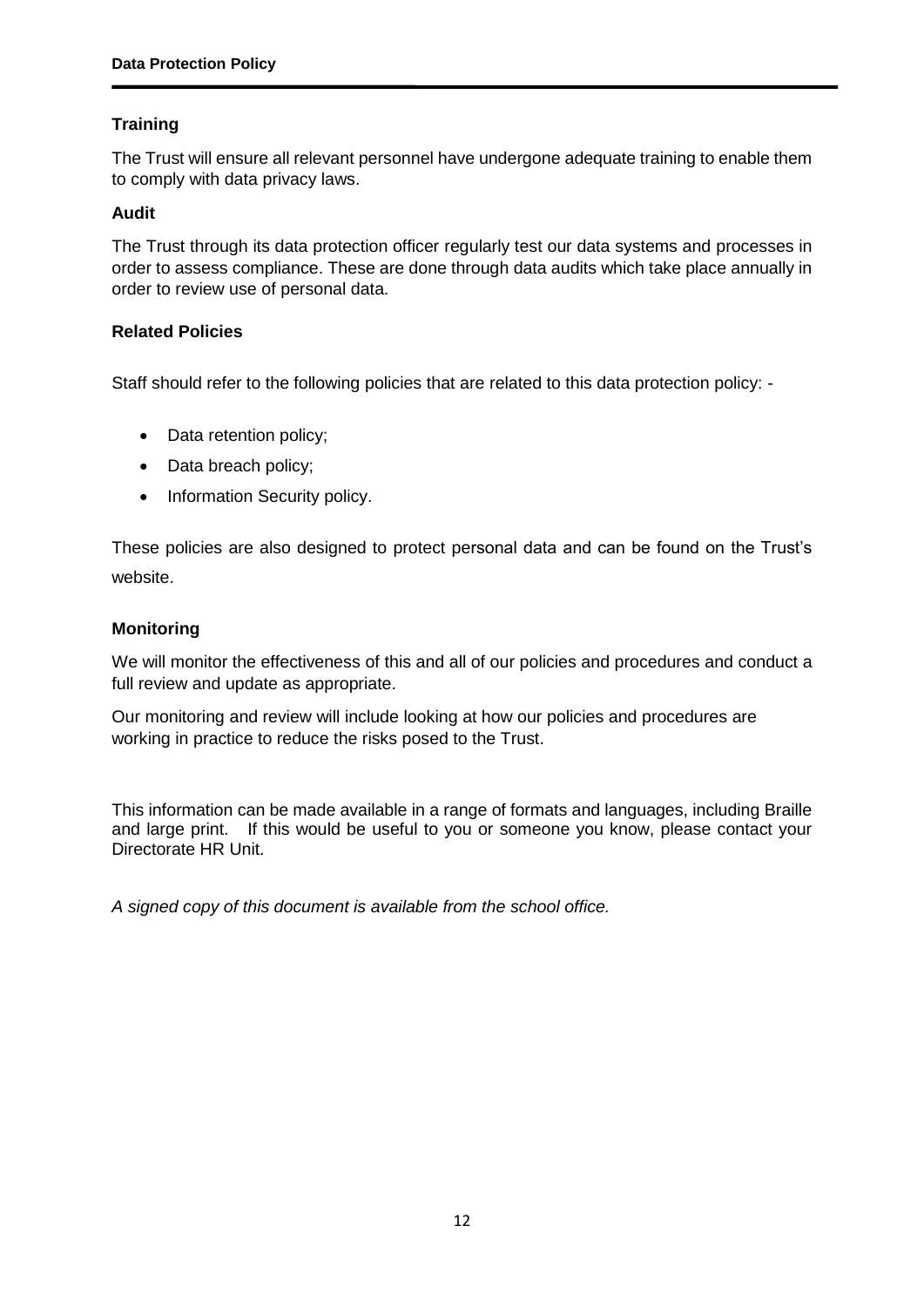# **Training**

The Trust will ensure all relevant personnel have undergone adequate training to enable them to comply with data privacy laws.

# **Audit**

The Trust through its data protection officer regularly test our data systems and processes in order to assess compliance. These are done through data audits which take place annually in order to review use of personal data.

# **Related Policies**

Staff should refer to the following policies that are related to this data protection policy: -

- Data retention policy:
- Data breach policy;
- Information Security policy.

These policies are also designed to protect personal data and can be found on the Trust's website.

#### **Monitoring**

We will monitor the effectiveness of this and all of our policies and procedures and conduct a full review and update as appropriate.

Our monitoring and review will include looking at how our policies and procedures are working in practice to reduce the risks posed to the Trust.

This information can be made available in a range of formats and languages, including Braille and large print. If this would be useful to you or someone you know, please contact your Directorate HR Unit.

*A signed copy of this document is available from the school office.*